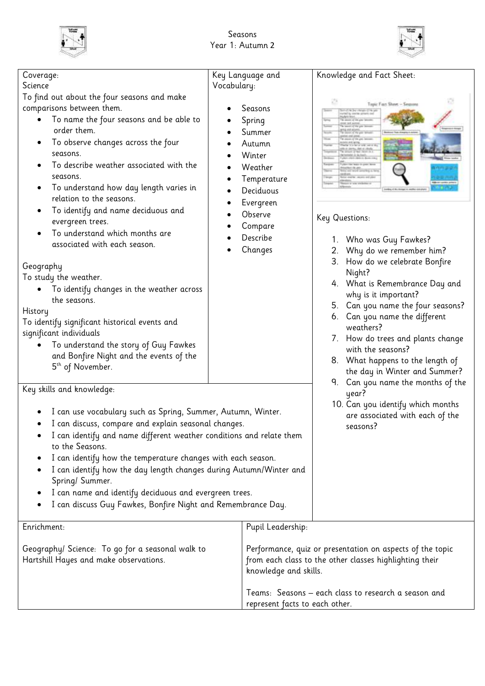



| Coverage:<br>Science<br>To find out about the four seasons and make<br>comparisons between them.<br>To name the four seasons and be able to<br>order them.<br>To observe changes across the four<br>seasons.<br>To describe weather associated with the<br>seasons.<br>To understand how day length varies in<br>relation to the seasons.<br>To identify and name deciduous and                                                                                                                                                                           | Key Language and<br>Vocabulary:<br>Seasons<br>Spring<br>Summer<br>Autumn<br>Winter<br>Weather<br>Temperature<br>Deciduous<br>Evergreen<br>٠<br>Observe<br>Compare<br>Describe<br>Changes | Knowledge and Fact Sheet:<br>Topic Fuct Sheet - Season<br>Key Questions:                                                                                                                                                                                                                                                                                                           |
|-----------------------------------------------------------------------------------------------------------------------------------------------------------------------------------------------------------------------------------------------------------------------------------------------------------------------------------------------------------------------------------------------------------------------------------------------------------------------------------------------------------------------------------------------------------|------------------------------------------------------------------------------------------------------------------------------------------------------------------------------------------|------------------------------------------------------------------------------------------------------------------------------------------------------------------------------------------------------------------------------------------------------------------------------------------------------------------------------------------------------------------------------------|
| evergreen trees.<br>To understand which months are<br>associated with each season.<br>Geography<br>To study the weather.<br>To identify changes in the weather across<br>the seasons.<br>History<br>To identify significant historical events and<br>significant individuals<br>To understand the story of Guy Fawkes<br>and Bonfire Night and the events of the<br>5 <sup>th</sup> of November.                                                                                                                                                          |                                                                                                                                                                                          | 1. Who was Guy Fawkes?<br>Why do we remember him?<br>2.<br>How do we celebrate Bonfire<br>3.<br>Night?<br>4. What is Remembrance Day and<br>why is it important?<br>5. Can you name the four seasons?<br>6. Can you name the different<br>weathers?<br>7. How do trees and plants change<br>with the seasons?<br>8. What happens to the length of<br>the day in Winter and Summer? |
| Key skills and knowledge:<br>year?<br>I can use vocabulary such as Spring, Summer, Autumn, Winter.<br>I can discuss, compare and explain seasonal changes.<br>seasons?<br>I can identify and name different weather conditions and relate them<br>to the Seasons.<br>I can identify how the temperature changes with each season.<br>I can identify how the day length changes during Autumn/Winter and<br>Spring/ Summer.<br>I can name and identify deciduous and evergreen trees.<br>٠<br>I can discuss Guy Fawkes, Bonfire Night and Remembrance Day. |                                                                                                                                                                                          | 9. Can you name the months of the<br>10. Can you identify which months<br>are associated with each of the                                                                                                                                                                                                                                                                          |
| Enrichment:<br>Geography/ Science: To go for a seasonal walk to<br>Hartshill Hayes and make observations.                                                                                                                                                                                                                                                                                                                                                                                                                                                 | Pupil Leadership:<br>knowledge and skills.<br>represent facts to each other.                                                                                                             | Performance, quiz or presentation on aspects of the topic<br>from each class to the other classes highlighting their<br>Teams: Seasons - each class to research a season and                                                                                                                                                                                                       |